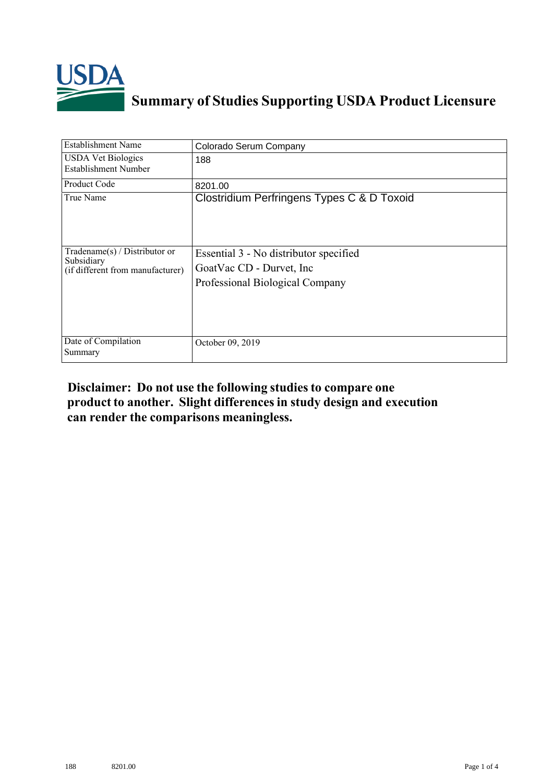

## **Summary of Studies Supporting USDA Product Licensure**

| <b>Establishment Name</b>                                | Colorado Serum Company                     |
|----------------------------------------------------------|--------------------------------------------|
| <b>USDA Vet Biologics</b><br><b>Establishment Number</b> | 188                                        |
| <b>Product Code</b>                                      | 8201.00                                    |
| True Name                                                | Clostridium Perfringens Types C & D Toxoid |
| Tradename $(s)$ / Distributor or                         | Essential 3 - No distributor specified     |
| Subsidiary<br>(if different from manufacturer)           | GoatVac CD - Durvet, Inc.                  |
|                                                          | Professional Biological Company            |
| Date of Compilation<br>Summary                           | October 09, 2019                           |

## **Disclaimer: Do not use the following studiesto compare one product to another. Slight differencesin study design and execution can render the comparisons meaningless.**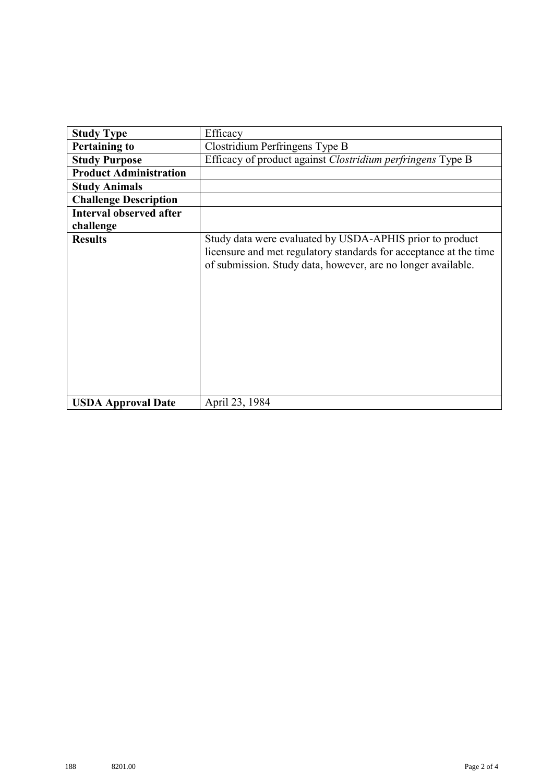| <b>Study Type</b>              | Efficacy                                                                                                                                                                                      |
|--------------------------------|-----------------------------------------------------------------------------------------------------------------------------------------------------------------------------------------------|
| <b>Pertaining to</b>           | Clostridium Perfringens Type B                                                                                                                                                                |
| <b>Study Purpose</b>           | Efficacy of product against Clostridium perfringens Type B                                                                                                                                    |
| <b>Product Administration</b>  |                                                                                                                                                                                               |
| <b>Study Animals</b>           |                                                                                                                                                                                               |
| <b>Challenge Description</b>   |                                                                                                                                                                                               |
| <b>Interval observed after</b> |                                                                                                                                                                                               |
| challenge                      |                                                                                                                                                                                               |
| <b>Results</b>                 | Study data were evaluated by USDA-APHIS prior to product<br>licensure and met regulatory standards for acceptance at the time<br>of submission. Study data, however, are no longer available. |
| <b>USDA Approval Date</b>      | April 23, 1984                                                                                                                                                                                |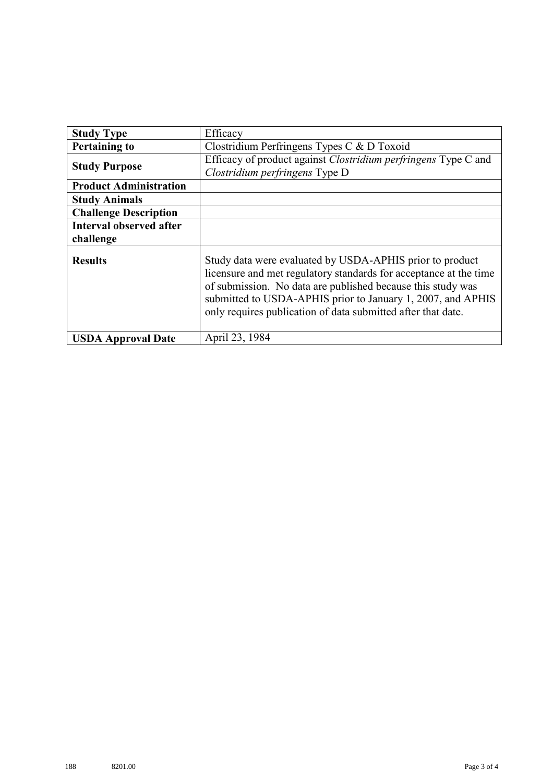| <b>Study Type</b>              | Efficacy                                                                                                                                                                                                                                                                                                                    |
|--------------------------------|-----------------------------------------------------------------------------------------------------------------------------------------------------------------------------------------------------------------------------------------------------------------------------------------------------------------------------|
| <b>Pertaining to</b>           | Clostridium Perfringens Types C & D Toxoid                                                                                                                                                                                                                                                                                  |
| <b>Study Purpose</b>           | Efficacy of product against <i>Clostridium perfringens</i> Type C and<br>Clostridium perfringens Type D                                                                                                                                                                                                                     |
| <b>Product Administration</b>  |                                                                                                                                                                                                                                                                                                                             |
| <b>Study Animals</b>           |                                                                                                                                                                                                                                                                                                                             |
| <b>Challenge Description</b>   |                                                                                                                                                                                                                                                                                                                             |
| <b>Interval observed after</b> |                                                                                                                                                                                                                                                                                                                             |
| challenge                      |                                                                                                                                                                                                                                                                                                                             |
| <b>Results</b>                 | Study data were evaluated by USDA-APHIS prior to product<br>licensure and met regulatory standards for acceptance at the time<br>of submission. No data are published because this study was<br>submitted to USDA-APHIS prior to January 1, 2007, and APHIS<br>only requires publication of data submitted after that date. |
| <b>USDA Approval Date</b>      | April 23, 1984                                                                                                                                                                                                                                                                                                              |